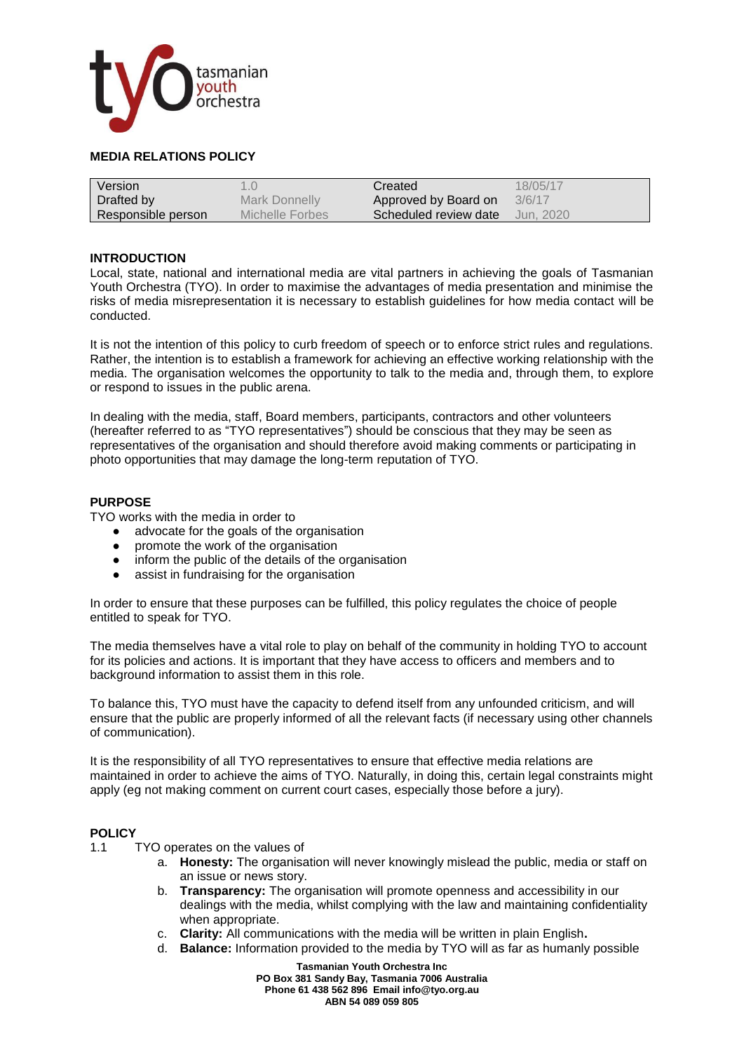

# **MEDIA RELATIONS POLICY**

| Version            | $\sim$          | Created               | 18/05/17  |
|--------------------|-----------------|-----------------------|-----------|
| Drafted by         | Mark Donnelly   | Approved by Board on  | 3/6/17    |
| Responsible person | Michelle Forbes | Scheduled review date | Jun. 2020 |

### **INTRODUCTION**

Local, state, national and international media are vital partners in achieving the goals of Tasmanian Youth Orchestra (TYO). In order to maximise the advantages of media presentation and minimise the risks of media misrepresentation it is necessary to establish guidelines for how media contact will be conducted.

It is not the intention of this policy to curb freedom of speech or to enforce strict rules and regulations. Rather, the intention is to establish a framework for achieving an effective working relationship with the media. The organisation welcomes the opportunity to talk to the media and, through them, to explore or respond to issues in the public arena.

In dealing with the media, staff, Board members, participants, contractors and other volunteers (hereafter referred to as "TYO representatives") should be conscious that they may be seen as representatives of the organisation and should therefore avoid making comments or participating in photo opportunities that may damage the long-term reputation of TYO.

### **PURPOSE**

TYO works with the media in order to

- advocate for the goals of the organisation
- promote the work of the organisation
- inform the public of the details of the organisation
- assist in fundraising for the organisation

In order to ensure that these purposes can be fulfilled, this policy regulates the choice of people entitled to speak for TYO.

The media themselves have a vital role to play on behalf of the community in holding TYO to account for its policies and actions. It is important that they have access to officers and members and to background information to assist them in this role.

To balance this, TYO must have the capacity to defend itself from any unfounded criticism, and will ensure that the public are properly informed of all the relevant facts (if necessary using other channels of communication).

It is the responsibility of all TYO representatives to ensure that effective media relations are maintained in order to achieve the aims of TYO. Naturally, in doing this, certain legal constraints might apply (eg not making comment on current court cases, especially those before a jury).

#### **POLICY**

- 1.1 TYO operates on the values of
	- a. **Honesty:** The organisation will never knowingly mislead the public, media or staff on an issue or news story.
	- b. **Transparency:** The organisation will promote openness and accessibility in our dealings with the media, whilst complying with the law and maintaining confidentiality when appropriate.
	- c. **Clarity:** All communications with the media will be written in plain English**.**
	- d. **Balance:** Information provided to the media by TYO will as far as humanly possible

**Tasmanian Youth Orchestra Inc PO Box 381 Sandy Bay, Tasmania 7006 Australia Phone 61 438 562 896 Email info@tyo.org.au ABN 54 089 059 805**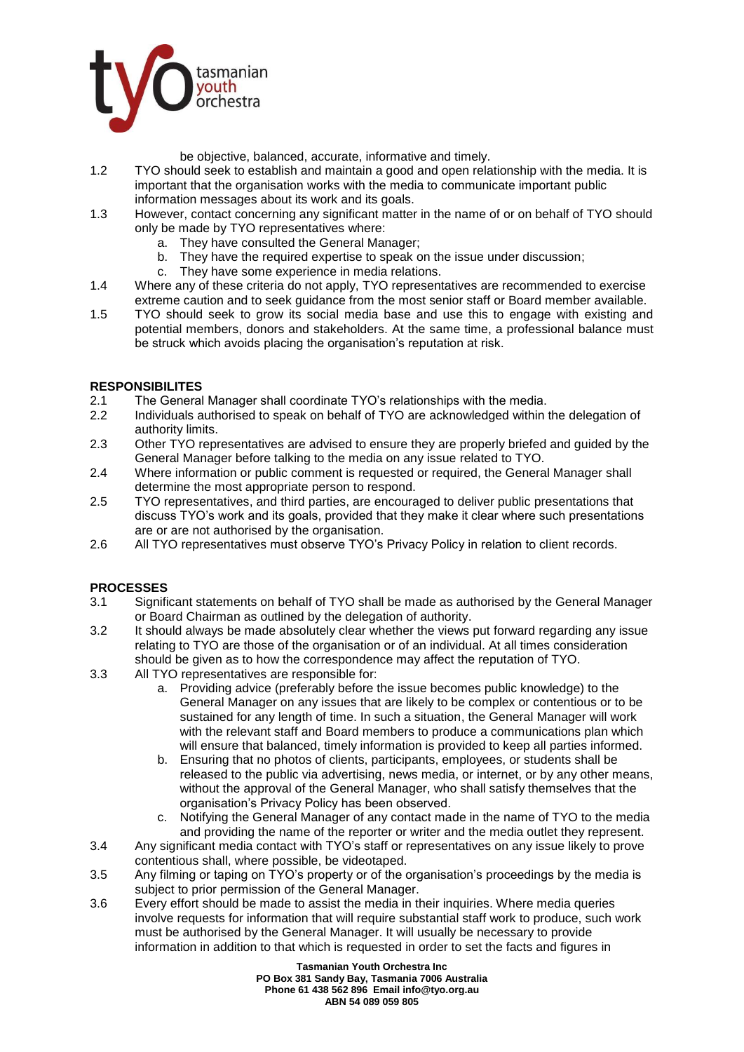

be objective, balanced, accurate, informative and timely.

- 1.2 TYO should seek to establish and maintain a good and open relationship with the media. It is important that the organisation works with the media to communicate important public information messages about its work and its goals.
- 1.3 However, contact concerning any significant matter in the name of or on behalf of TYO should only be made by TYO representatives where:
	- a. They have consulted the General Manager;
	- b. They have the required expertise to speak on the issue under discussion;
	- c. They have some experience in media relations.
- 1.4 Where any of these criteria do not apply, TYO representatives are recommended to exercise extreme caution and to seek guidance from the most senior staff or Board member available.
- 1.5 TYO should seek to grow its social media base and use this to engage with existing and potential members, donors and stakeholders. At the same time, a professional balance must be struck which avoids placing the organisation's reputation at risk.

## **RESPONSIBILITES**

- 2.1 The General Manager shall coordinate TYO's relationships with the media.
- 2.2 Individuals authorised to speak on behalf of TYO are acknowledged within the delegation of authority limits.
- 2.3 Other TYO representatives are advised to ensure they are properly briefed and guided by the General Manager before talking to the media on any issue related to TYO.
- 2.4 Where information or public comment is requested or required, the General Manager shall determine the most appropriate person to respond.
- 2.5 TYO representatives, and third parties, are encouraged to deliver public presentations that discuss TYO's work and its goals, provided that they make it clear where such presentations are or are not authorised by the organisation.
- 2.6 All TYO representatives must observe TYO's Privacy Policy in relation to client records.

## **PROCESSES**

- 3.1 Significant statements on behalf of TYO shall be made as authorised by the General Manager or Board Chairman as outlined by the delegation of authority.
- 3.2 It should always be made absolutely clear whether the views put forward regarding any issue relating to TYO are those of the organisation or of an individual. At all times consideration should be given as to how the correspondence may affect the reputation of TYO.
- 3.3 All TYO representatives are responsible for:
	- a. Providing advice (preferably before the issue becomes public knowledge) to the General Manager on any issues that are likely to be complex or contentious or to be sustained for any length of time. In such a situation, the General Manager will work with the relevant staff and Board members to produce a communications plan which will ensure that balanced, timely information is provided to keep all parties informed.
	- b. Ensuring that no photos of clients, participants, employees, or students shall be released to the public via advertising, news media, or internet, or by any other means, without the approval of the General Manager, who shall satisfy themselves that the organisation's Privacy Policy has been observed.
	- c. Notifying the General Manager of any contact made in the name of TYO to the media and providing the name of the reporter or writer and the media outlet they represent.
- 3.4 Any significant media contact with TYO's staff or representatives on any issue likely to prove contentious shall, where possible, be videotaped.
- 3.5 Any filming or taping on TYO's property or of the organisation's proceedings by the media is subject to prior permission of the General Manager.
- 3.6 Every effort should be made to assist the media in their inquiries. Where media queries involve requests for information that will require substantial staff work to produce, such work must be authorised by the General Manager. It will usually be necessary to provide information in addition to that which is requested in order to set the facts and figures in

**Tasmanian Youth Orchestra Inc PO Box 381 Sandy Bay, Tasmania 7006 Australia Phone 61 438 562 896 Email info@tyo.org.au ABN 54 089 059 805**